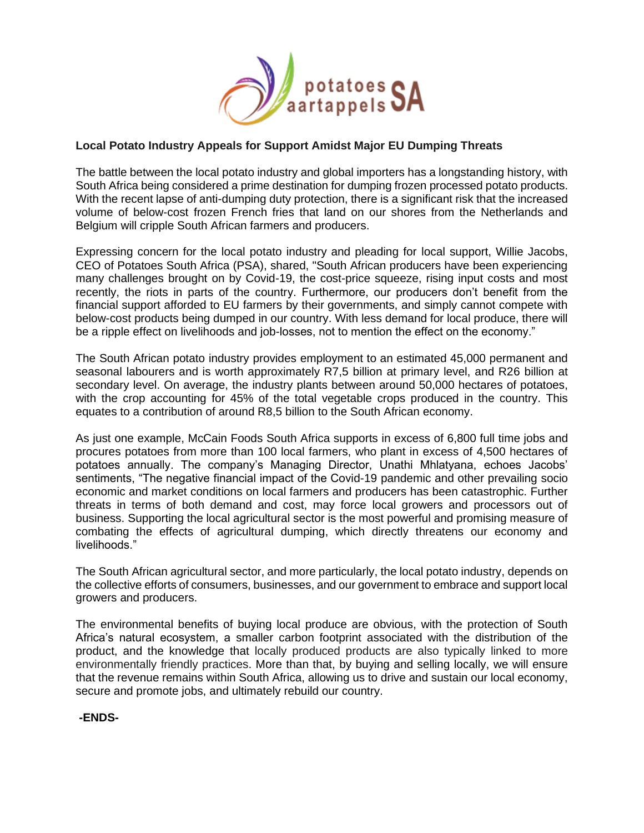

## **Local Potato Industry Appeals for Support Amidst Major EU Dumping Threats**

The battle between the local potato industry and global importers has a longstanding history, with South Africa being considered a prime destination for dumping frozen processed potato products. With the recent lapse of anti-dumping duty protection, there is a significant risk that the increased volume of below-cost frozen French fries that land on our shores from the Netherlands and Belgium will cripple South African farmers and producers.

Expressing concern for the local potato industry and pleading for local support, Willie Jacobs, CEO of Potatoes South Africa (PSA), shared, "South African producers have been experiencing many challenges brought on by Covid-19, the cost-price squeeze, rising input costs and most recently, the riots in parts of the country. Furthermore, our producers don't benefit from the financial support afforded to EU farmers by their governments, and simply cannot compete with below-cost products being dumped in our country. With less demand for local produce, there will be a ripple effect on livelihoods and job-losses, not to mention the effect on the economy."

The South African potato industry provides employment to an estimated 45,000 permanent and seasonal labourers and is worth approximately R7,5 billion at primary level, and R26 billion at secondary level. On average, the industry plants between around 50,000 hectares of potatoes, with the crop accounting for 45% of the total vegetable crops produced in the country. This equates to a contribution of around R8,5 billion to the South African economy.

As just one example, McCain Foods South Africa supports in excess of 6,800 full time jobs and procures potatoes from more than 100 local farmers, who plant in excess of 4,500 hectares of potatoes annually. The company's Managing Director, Unathi Mhlatyana, echoes Jacobs' sentiments, "The negative financial impact of the Covid-19 pandemic and other prevailing socio economic and market conditions on local farmers and producers has been catastrophic. Further threats in terms of both demand and cost, may force local growers and processors out of business. Supporting the local agricultural sector is the most powerful and promising measure of combating the effects of agricultural dumping, which directly threatens our economy and livelihoods."

The South African agricultural sector, and more particularly, the local potato industry, depends on the collective efforts of consumers, businesses, and our government to embrace and support local growers and producers.

The environmental benefits of buying local produce are obvious, with the protection of South Africa's natural ecosystem, a smaller carbon footprint associated with the distribution of the product, and the knowledge that locally produced products are also typically linked to more environmentally friendly practices. More than that, by buying and selling locally, we will ensure that the revenue remains within South Africa, allowing us to drive and sustain our local economy, secure and promote jobs, and ultimately rebuild our country.

**-ENDS-**